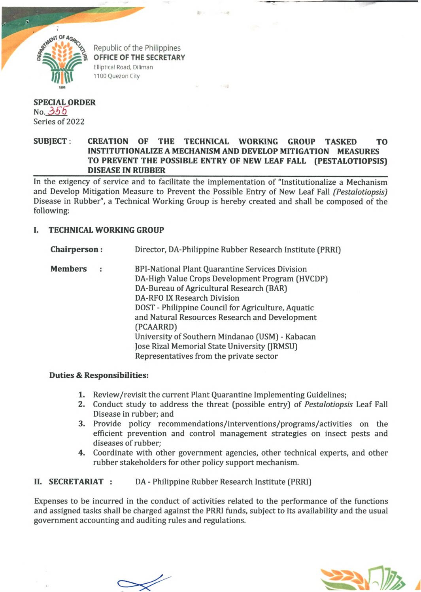

Republic of the Philippines **OFFICE OF THE SECRETARY** Elliptical Road, Diliman 1100 Quezon City

## **SPECIAL ORDER** No. *3 S 6* Series of 2022

## **SUBJECT: CREATION OF THE TECHNICAL WORKING GROUP TASKED TO INSTITUTIONALIZE A MECHANISM AND DEVELOP MITIGATION MEASURES TO PREVENT THE POSSIBLE ENTRY OF NEW LEAF FALL (PESTALOTIOPSIS) \_\_\_\_\_\_\_\_\_\_\_\_\_\_\_\_\_ DISEASE IN RUBBER\_\_\_\_\_\_\_\_\_\_\_\_\_\_\_\_\_\_\_\_\_\_\_\_\_\_\_\_\_\_\_\_\_\_\_\_\_\_\_\_\_\_\_\_\_\_\_\_\_\_\_\_\_\_\_\_\_\_\_\_\_\_\_\_\_\_\_\_\_\_\_**

In the exigency of service and to facilitate the implementation of "Institutionalize a Mechanism and Develop Mitigation Measure to Prevent the Possible Entry of New Leaf Fall *(Pestalotiopsis)* Disease in Rubber", a Technical Working Group is hereby created and shall be composed of the following:

## **I. TECHNICAL WORKING GROUP**

- **Chairperson**: Director, DA-Philippine Rubber Research Institute (PRRI)
- **Members** : BPI-National Plant Quarantine Services Division DA-High Value Crops Development Program (HVCDP) DA-Bureau of Agricultural Research (BAR) DA-RFO IX Research Division DOST - Philippine Council for Agriculture, Aquatic and Natural Resources Research and Development (PCAARRD) University of Southern Mindanao (USM) - Kabacan Jose Rizal Memorial State University (JRMSU) Representatives from the private sector

## **Duties & Responsibilities:**

- 1. Review/revisit the current Plant Quarantine Implementing Guidelines;
- 2. Conduct study to address the threat (possible entry) of *Pestalotiopsis* Leaf Fall Disease in rubber; and
- 3. Provide policy recommendations/interventions/programs/activities on the efficient prevention and control management strategies on insect pests and diseases of rubber;
- 4. Coordinate with other government agencies, other technical experts, and other rubber stakeholders for other policy support mechanism.

**II. SECRETARIAT** : DA - Philippine Rubber Research Institute (PRRI)

Expenses to be incurred in the conduct of activities related to the performance of the functions and assigned tasks shall be charged against the PRRI funds, subject to its availability and the usual government accounting and auditing rules and regulations.